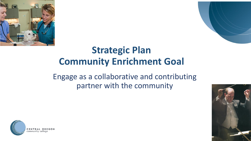



### **Strategic Plan Community Enrichment Goal**

Engage as a collaborative and contributing partner with the community



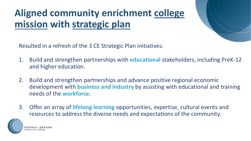### **Aligned community enrichment college mission with strategic plan**



Resulted in a refresh of the 3 CE Strategic Plan initiatives:

- 1. Build and strengthen partnerships with **educational** stakeholders, including PreK-12 and higher education.
- 2. Build and strengthen partnerships and advance positive regional economic development with **business and industry** by assisting with educational and training needs of the **workforce**.
- 3. Offer an array of **lifelong learning** opportunities, expertise, cultural events and resources to address the diverse needs and expectations of the community.

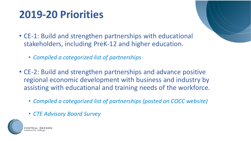### **2019-20 Priorities**

- CE-1: Build and strengthen partnerships with educational stakeholders, including PreK-12 and higher education.
	- *Compiled a categorized list of partnerships*
- CE-2: Build and strengthen partnerships and advance positive regional economic development with business and industry by assisting with educational and training needs of the workforce.
	- *Compiled a categorized list of partnerships (posted on COCC website)*
	- *CTE Advisory Board Survey*

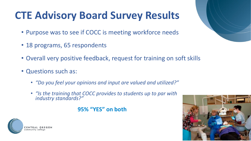## **CTE Advisory Board Survey Results**

- Purpose was to see if COCC is meeting workforce needs
- 18 programs, 65 respondents
- Overall very positive feedback, request for training on soft skills
- Questions such as:
	- *"Do you feel your opinions and input are valued and utilized?"*
	- *"Is the training that COCC provides to students up to par with industry standards?"*

### **95% "YES" on both**



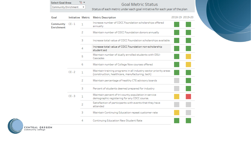#### **Goal Metric Status**

Select Goal Area:

Community Enrichment v

 $\nabla_{\!\!\mathbf{x}}$   $\blacktriangledown$ 

Status of each metric under each goal initiative for each year of the plan

| Goal                    |          |   | Initiative Metric Metric Description                                                                                | 2018-19 2019-20 |
|-------------------------|----------|---|---------------------------------------------------------------------------------------------------------------------|-----------------|
| Community<br>Enrichment | $CE - 1$ | 1 | Increase number of COCC Foundation scholarships offered<br>annually                                                 |                 |
|                         |          | 2 | Maintain number of COCC Foundation donors annually                                                                  |                 |
|                         |          | з | Increase total value of COCC Foundation scholarships available                                                      |                 |
|                         |          | 4 | Increase total value of COCC Foundation non-scholarship<br>student aid                                              |                 |
|                         |          | 5 | Maintain number of dually enrolled students with OSU-<br>Cascades                                                   |                 |
|                         |          | 6 | Maintain number of College Now courses offered                                                                      |                 |
|                         | $CE - 2$ | 1 | Maintain training programs in all industry sector priority areas<br>(construction, healthcare, manufacturing, tech) |                 |
|                         |          | 2 | Maintain percentage of healthy CTE advisory boards                                                                  |                 |
|                         |          | з | Percent of students deemed prepared for industry                                                                    |                 |
|                         | $CE - 3$ | 1 | Maintain percent of tri-county population in service<br>demographic registering for any COCC course.                |                 |
|                         |          | 2 | Satisfaction of participants with events that they have<br>attended                                                 |                 |
|                         |          | з | Maintain Continuing Education repeat customer rate                                                                  |                 |
|                         |          | 4 | Continuing Education New Student Rate                                                                               |                 |

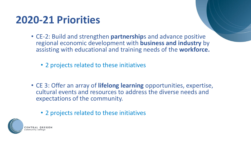### **2020-21 Priorities**

- CE-2: Build and strengthen **partnership**s and advance positive regional economic development with **business and industry** by assisting with educational and training needs of the **workforce.** 
	- 2 projects related to these initiatives
- CE 3: Offer an array of **lifelong learning** opportunities, expertise, cultural events and resources to address the diverse needs and expectations of the community.
	- 2 projects related to these initiatives

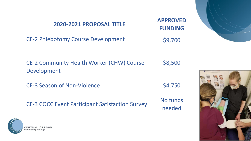| 2020-2021 PROPOSAL TITLE                                        | <b>APPROVED</b><br><b>FUNDING</b> |  |
|-----------------------------------------------------------------|-----------------------------------|--|
| <b>CE-2 Phlebotomy Course Development</b>                       | \$9,700                           |  |
| <b>CE-2 Community Health Worker (CHW) Course</b><br>Development | \$8,500                           |  |
| <b>CE-3 Season of Non-Violence</b>                              | \$4,750                           |  |
| <b>CE-3 COCC Event Participant Satisfaction Survey</b>          | No funds<br>needed                |  |
| <b>CENTRAL</b><br>community college                             |                                   |  |

 $x =$